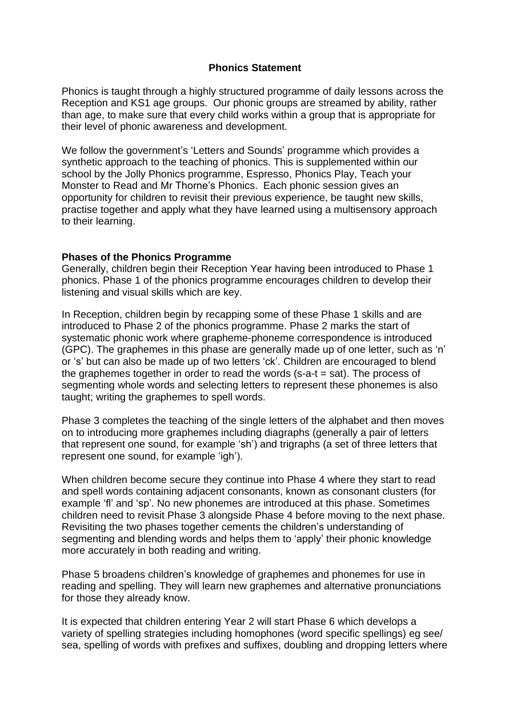## **Phonics Statement**

Phonics is taught through a highly structured programme of daily lessons across the Reception and KS1 age groups. Our phonic groups are streamed by ability, rather than age, to make sure that every child works within a group that is appropriate for their level of phonic awareness and development.

We follow the government's 'Letters and Sounds' programme which provides a synthetic approach to the teaching of phonics. This is supplemented within our school by the Jolly Phonics programme, Espresso, Phonics Play, Teach your Monster to Read and Mr Thorne's Phonics. Each phonic session gives an opportunity for children to revisit their previous experience, be taught new skills, practise together and apply what they have learned using a multisensory approach to their learning.

## **Phases of the Phonics Programme**

Generally, children begin their Reception Year having been introduced to Phase 1 phonics. Phase 1 of the phonics programme encourages children to develop their listening and visual skills which are key.

In Reception, children begin by recapping some of these Phase 1 skills and are introduced to Phase 2 of the phonics programme. Phase 2 marks the start of systematic phonic work where grapheme-phoneme correspondence is introduced (GPC). The graphemes in this phase are generally made up of one letter, such as 'n' or 's' but can also be made up of two letters 'ck'. Children are encouraged to blend the graphemes together in order to read the words (s-a-t = sat). The process of segmenting whole words and selecting letters to represent these phonemes is also taught; writing the graphemes to spell words.

Phase 3 completes the teaching of the single letters of the alphabet and then moves on to introducing more graphemes including diagraphs (generally a pair of letters that represent one sound, for example 'sh') and trigraphs (a set of three letters that represent one sound, for example 'igh').

When children become secure they continue into Phase 4 where they start to read and spell words containing adjacent consonants, known as consonant clusters (for example 'fl' and 'sp'. No new phonemes are introduced at this phase. Sometimes children need to revisit Phase 3 alongside Phase 4 before moving to the next phase. Revisiting the two phases together cements the children's understanding of segmenting and blending words and helps them to 'apply' their phonic knowledge more accurately in both reading and writing.

Phase 5 broadens children's knowledge of graphemes and phonemes for use in reading and spelling. They will learn new graphemes and alternative pronunciations for those they already know.

It is expected that children entering Year 2 will start Phase 6 which develops a variety of spelling strategies including homophones (word specific spellings) eg see/ sea, spelling of words with prefixes and suffixes, doubling and dropping letters where